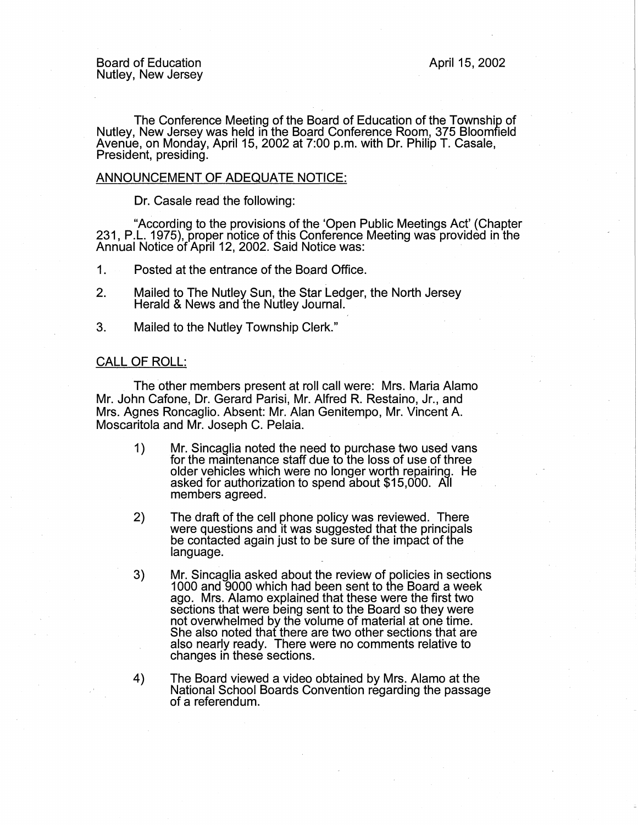The Conference Meeting of the Board of Education of the Township of Nutley, New Jersey was held in the Board Conference Room, 375 Bloomfield Avenue, on Monday, April 15, 2002 at 7:00 p.m. with Dr. Philip T. Casale, President, presiding.

## ANNOUNCEMENT OF ADEQUATE NOTICE:

Dr. Casale read the following:

"According to the provisions of the 'Open Public Meetings Act' (Chapter 231, P.L. 1975), proper notice of this Conference Meeting was provided in the Annual Notice of April 12, 2002. Said Notice was: ·

- 1. Posted at the entrance of the Board Office.
- 2. Mailed to The Nutley Sun, the Star Ledger, the North Jersey Herald & News and the Nutley Journal.
- 3. Mailed to the Nutley Township Clerk."

## CALL OF ROLL:

The other members present at roll call were: Mrs. Maria Alamo Mr. John Cafone, Dr. Gerard Parisi, Mr. Alfred R. Restaino, Jr., and Mrs. Agnes Roncaglio. Absent: Mr. Alan Genitempo, Mr. Vincent A. Moscaritola and Mr. Joseph C. Pelaia.

- 1) Mr. Sincaglia noted the need to purchase two used vans for the maintenance staff due to the loss of use of three older vehicles which were no longer worth repairing. He asked for authorization to spend about \$15,000. All members agreed.
- 2) The draft of the cell phone policy was reviewed. There were questions and it was suggested that the principals be contacted again just to be sure of the impact of the language.
- 3) Mr. Sincaglia asked about the review of policies in sections 1000 and 9000 which had been sent to the Board a week ago. Mrs. Alamo explained that these were the first two sections that were being sent to the Board so they were not overwhelmed by the volume of material at one time. She also noted that there are two other sections that are also nearly ready. There were no comments relative to changes in these sections.
- 4) The Board viewed a video obtained by Mrs. Alamo at the National School Boards Convention regarding the passage of a referendum.